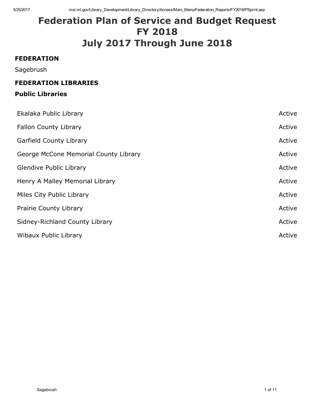# Federation Plan of Service and Budget Request FY 2018 July 2017 Through June 2018

#### FEDERATION

Sagebrush

## FEDERATION LIBRARIES

## Public Libraries

| Ekalaka Public Library                | Active |
|---------------------------------------|--------|
| <b>Fallon County Library</b>          | Active |
| <b>Garfield County Library</b>        | Active |
| George McCone Memorial County Library | Active |
| <b>Glendive Public Library</b>        | Active |
| Henry A Malley Memorial Library       | Active |
| Miles City Public Library             | Active |
| <b>Prairie County Library</b>         | Active |
| Sidney-Richland County Library        | Active |
| Wibaux Public Library                 | Active |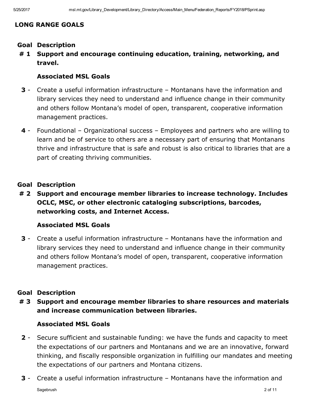# LONG RANGE GOALS

- Goal Description
- # 1 Support and encourage continuing education, training, networking, and travel.

## Associated MSL Goals

- 3 Create a useful information infrastructure Montanans have the information and library services they need to understand and influence change in their community and others follow Montana's model of open, transparent, cooperative information management practices.
- 4 Foundational Organizational success Employees and partners who are willing to learn and be of service to others are a necessary part of ensuring that Montanans thrive and infrastructure that is safe and robust is also critical to libraries that are a part of creating thriving communities.

## Goal Description

# 2 Support and encourage member libraries to increase technology. Includes OCLC, MSC, or other electronic cataloging subscriptions, barcodes, networking costs, and Internet Access.

## Associated MSL Goals

3 Create a useful information infrastructure – Montanans have the information and library services they need to understand and influence change in their community and others follow Montana's model of open, transparent, cooperative information management practices.

## Goal Description

# 3 Support and encourage member libraries to share resources and materials and increase communication between libraries.

## Associated MSL Goals

- **2** Secure sufficient and sustainable funding: we have the funds and capacity to meet the expectations of our partners and Montanans and we are an innovative, forward thinking, and fiscally responsible organization in fulfilling our mandates and meeting the expectations of our partners and Montana citizens.
- **3** Create a useful information infrastructure Montanans have the information and Sagebrush 2 of 11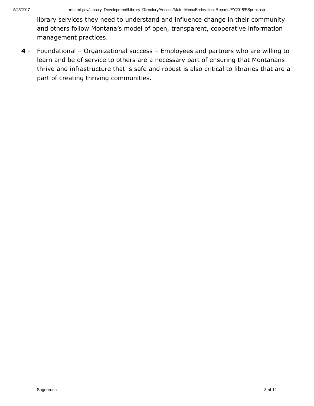library services they need to understand and influence change in their community and others follow Montana's model of open, transparent, cooperative information management practices.

4 - Foundational – Organizational success – Employees and partners who are willing to learn and be of service to others are a necessary part of ensuring that Montanans thrive and infrastructure that is safe and robust is also critical to libraries that are a part of creating thriving communities.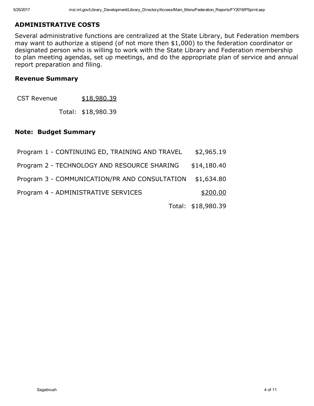## ADMINISTRATIVE COSTS

Several administrative functions are centralized at the State Library, but Federation members may want to authorize a stipend (of not more then \$1,000) to the federation coordinator or designated person who is willing to work with the State Library and Federation membership to plan meeting agendas, set up meetings, and do the appropriate plan of service and annual report preparation and filing.

#### Revenue Summary

CST Revenue \$18,980.39

Total: \$18,980.39

#### Note: Budget Summary

| Program 1 - CONTINUING ED, TRAINING AND TRAVEL | \$2,965.19         |
|------------------------------------------------|--------------------|
| Program 2 - TECHNOLOGY AND RESOURCE SHARING    | \$14,180.40        |
| Program 3 - COMMUNICATION/PR AND CONSULTATION  | \$1,634.80         |
| Program 4 - ADMINISTRATIVE SERVICES            | \$200.00           |
|                                                | Total: \$18,980.39 |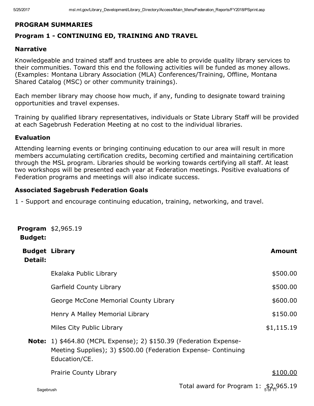# PROGRAM SUMMARIES

# Program 1 - CONTINUING ED, TRAINING AND TRAVEL

## Narrative

Knowledgeable and trained staff and trustees are able to provide quality library services to their communities. Toward this end the following activities will be funded as money allows. (Examples: Montana Library Association (MLA) Conferences/Training, Offline, Montana Shared Catalog (MSC) or other community trainings).

Each member library may choose how much, if any, funding to designate toward training opportunities and travel expenses.

Training by qualified library representatives, individuals or State Library Staff will be provided at each Sagebrush Federation Meeting at no cost to the individual libraries.

## Evaluation

Attending learning events or bringing continuing education to our area will result in more members accumulating certification credits, becoming certified and maintaining certification through the MSL program. Libraries should be working towards certifying all staff. At least two workshops will be presented each year at Federation meetings. Positive evaluations of Federation programs and meetings will also indicate success.

## Associated Sagebrush Federation Goals

1 Support and encourage continuing education, training, networking, and travel.

| <b>Budget:</b>                   | <b>Program</b> $$2,965.19$                                                                                                                                   |                                        |               |
|----------------------------------|--------------------------------------------------------------------------------------------------------------------------------------------------------------|----------------------------------------|---------------|
| <b>Budget Library</b><br>Detail: |                                                                                                                                                              |                                        | <b>Amount</b> |
|                                  | Ekalaka Public Library                                                                                                                                       |                                        | \$500.00      |
|                                  | <b>Garfield County Library</b>                                                                                                                               |                                        | \$500.00      |
|                                  | George McCone Memorial County Library                                                                                                                        |                                        | \$600.00      |
|                                  | Henry A Malley Memorial Library                                                                                                                              |                                        | \$150.00      |
|                                  | Miles City Public Library                                                                                                                                    |                                        | \$1,115.19    |
|                                  | <b>Note:</b> 1) \$464.80 (MCPL Expense); 2) \$150.39 (Federation Expense-<br>Meeting Supplies); 3) \$500.00 (Federation Expense- Continuing<br>Education/CE. |                                        |               |
|                                  | <b>Prairie County Library</b>                                                                                                                                |                                        | \$100.00      |
| Sagebrush                        |                                                                                                                                                              | Total award for Program 1: $$2,965.19$ |               |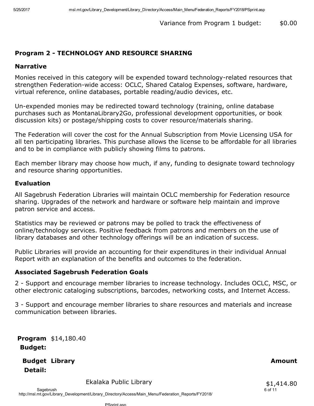# Program 2 - TECHNOLOGY AND RESOURCE SHARING

#### Narrative

Monies received in this category will be expended toward technology-related resources that strengthen Federation-wide access: OCLC, Shared Catalog Expenses, software, hardware, virtual reference, online databases, portable reading/audio devices, etc.

Un-expended monies may be redirected toward technology (training, online database purchases such as MontanaLibrary2Go, professional development opportunities, or book discussion kits) or postage/shipping costs to cover resource/materials sharing.

The Federation will cover the cost for the Annual Subscription from Movie Licensing USA for all ten participating libraries. This purchase allows the license to be affordable for all libraries and to be in compliance with publicly showing films to patrons.

Each member library may choose how much, if any, funding to designate toward technology and resource sharing opportunities.

#### Evaluation

All Sagebrush Federation Libraries will maintain OCLC membership for Federation resource sharing. Upgrades of the network and hardware or software help maintain and improve patron service and access.

Statistics may be reviewed or patrons may be polled to track the effectiveness of online/technology services. Positive feedback from patrons and members on the use of library databases and other technology offerings will be an indication of success.

Public Libraries will provide an accounting for their expenditures in their individual Annual Report with an explanation of the benefits and outcomes to the federation.

#### Associated Sagebrush Federation Goals

2 Support and encourage member libraries to increase technology. Includes OCLC, MSC, or other electronic cataloging subscriptions, barcodes, networking costs, and Internet Access.

3 Support and encourage member libraries to share resources and materials and increase communication between libraries.

Program \$14,180.40 Budget:

**Budget Library** Detail: Library **Amount Contract Contract Contract Contract Contract Contract Contract Contract Contract Contract Contract Contract Contract Contract Contract Contract Contract Contract Contract Contract Contract Contract Contra** 

Ekalaka Public Library

 $$1,414.80$ <br>6 of 11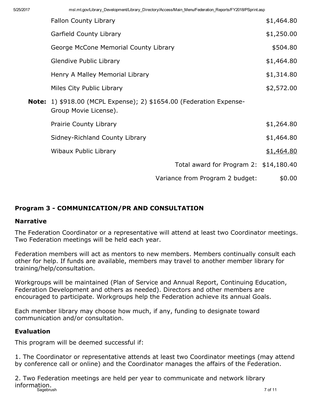|                                                                                                     | <b>Fallon County Library</b>            | \$1,464.80 |
|-----------------------------------------------------------------------------------------------------|-----------------------------------------|------------|
|                                                                                                     | <b>Garfield County Library</b>          | \$1,250.00 |
|                                                                                                     | George McCone Memorial County Library   | \$504.80   |
|                                                                                                     | <b>Glendive Public Library</b>          | \$1,464.80 |
|                                                                                                     | Henry A Malley Memorial Library         | \$1,314.80 |
|                                                                                                     | Miles City Public Library               | \$2,572.00 |
| <b>Note:</b> 1) \$918.00 (MCPL Expense); 2) \$1654.00 (Federation Expense-<br>Group Movie License). |                                         |            |
|                                                                                                     | Prairie County Library                  | \$1,264.80 |
|                                                                                                     | Sidney-Richland County Library          | \$1,464.80 |
|                                                                                                     | Wibaux Public Library                   | \$1,464.80 |
|                                                                                                     | Total award for Program 2: $$14,180.40$ |            |
|                                                                                                     | Variance from Program 2 budget:         | \$0.00     |

# Program 3 COMMUNICATION/PR AND CONSULTATION

## Narrative

The Federation Coordinator or a representative will attend at least two Coordinator meetings. Two Federation meetings will be held each year.

Federation members will act as mentors to new members. Members continually consult each other for help. If funds are available, members may travel to another member library for training/help/consultation.

Workgroups will be maintained (Plan of Service and Annual Report, Continuing Education, Federation Development and others as needed). Directors and other members are encouraged to participate. Workgroups help the Federation achieve its annual Goals.

Each member library may choose how much, if any, funding to designate toward communication and/or consultation.

## Evaluation

This program will be deemed successful if:

1. The Coordinator or representative attends at least two Coordinator meetings (may attend by conference call or online) and the Coordinator manages the affairs of the Federation.

2. Two Federation meetings are held per year to communicate and network library information.<br>Sagebrush Sagebrush 7 of 11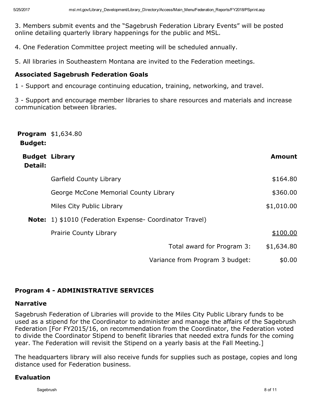3. Members submit events and the "Sagebrush Federation Library Events" will be posted online detailing quarterly library happenings for the public and MSL.

4. One Federation Committee project meeting will be scheduled annually.

5. All libraries in Southeastern Montana are invited to the Federation meetings.

## Associated Sagebrush Federation Goals

1 Support and encourage continuing education, training, networking, and travel.

3 - Support and encourage member libraries to share resources and materials and increase communication between libraries.

| <b>Budget:</b>                          | <b>Program</b> \$1,634.80                                       |               |
|-----------------------------------------|-----------------------------------------------------------------|---------------|
| <b>Budget Library</b><br><b>Detail:</b> |                                                                 | <b>Amount</b> |
|                                         | <b>Garfield County Library</b>                                  | \$164.80      |
|                                         | George McCone Memorial County Library                           | \$360.00      |
|                                         | Miles City Public Library                                       | \$1,010.00    |
|                                         | <b>Note:</b> 1) \$1010 (Federation Expense- Coordinator Travel) |               |
|                                         | <b>Prairie County Library</b>                                   | \$100.00      |
|                                         | Total award for Program 3:                                      | \$1,634.80    |
|                                         | Variance from Program 3 budget:                                 | \$0.00        |

# Program 4 - ADMINISTRATIVE SERVICES

#### Narrative

Sagebrush Federation of Libraries will provide to the Miles City Public Library funds to be used as a stipend for the Coordinator to administer and manage the affairs of the Sagebrush Federation [For FY2015/16, on recommendation from the Coordinator, the Federation voted to divide the Coordinator Stipend to benefit libraries that needed extra funds for the coming year. The Federation will revisit the Stipend on a yearly basis at the Fall Meeting.]

The headquarters library will also receive funds for supplies such as postage, copies and long distance used for Federation business.

## Evaluation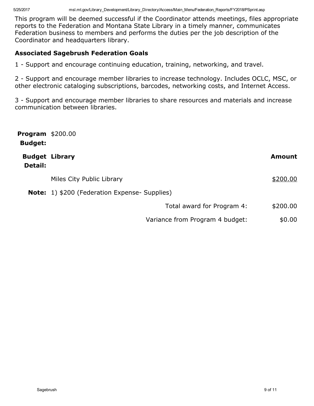This program will be deemed successful if the Coordinator attends meetings, files appropriate reports to the Federation and Montana State Library in a timely manner, communicates Federation business to members and performs the duties per the job description of the Coordinator and headquarters library.

## Associated Sagebrush Federation Goals

1 Support and encourage continuing education, training, networking, and travel.

2 - Support and encourage member libraries to increase technology. Includes OCLC, MSC, or other electronic cataloging subscriptions, barcodes, networking costs, and Internet Access.

3 - Support and encourage member libraries to share resources and materials and increase communication between libraries.

| <b>Program \$200.00</b><br><b>Budget:</b> |                                                      |               |
|-------------------------------------------|------------------------------------------------------|---------------|
| Detail:                                   | <b>Budget Library</b>                                | <b>Amount</b> |
|                                           | Miles City Public Library                            | \$200.00      |
|                                           | <b>Note:</b> 1) \$200 (Federation Expense- Supplies) |               |
|                                           | Total award for Program 4:                           | \$200.00      |
|                                           | Variance from Program 4 budget:                      | \$0.00        |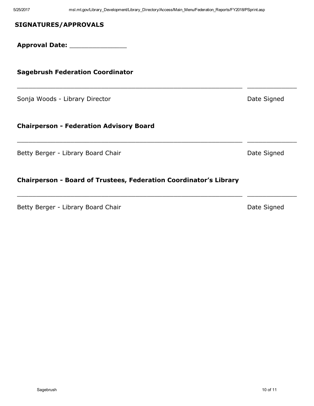$\_$  , and the set of the set of the set of the set of the set of the set of the set of the set of the set of the set of the set of the set of the set of the set of the set of the set of the set of the set of the set of th

 $\_$  , and the set of the set of the set of the set of the set of the set of the set of the set of the set of the set of the set of the set of the set of the set of the set of the set of the set of the set of the set of th

 $\_$  ,  $\_$  ,  $\_$  ,  $\_$  ,  $\_$  ,  $\_$  ,  $\_$  ,  $\_$  ,  $\_$  ,  $\_$  ,  $\_$  ,  $\_$  ,  $\_$  ,  $\_$  ,  $\_$  ,  $\_$  ,  $\_$  ,  $\_$  ,  $\_$  ,  $\_$  ,  $\_$  ,  $\_$  ,  $\_$  ,  $\_$  ,  $\_$  ,  $\_$  ,  $\_$  ,  $\_$  ,  $\_$  ,  $\_$  ,  $\_$  ,  $\_$  ,  $\_$  ,  $\_$  ,  $\_$  ,  $\_$  ,  $\_$  ,

#### SIGNATURES/APPROVALS

Approval Date: \_\_\_\_\_\_\_\_\_\_\_\_\_\_\_

#### Sagebrush Federation Coordinator

Sonja Woods - Library Director **Date Signed** Date Signed

#### **Chairperson - Federation Advisory Board**

Betty Berger - Library Board Chair **Date Signed** Date Signed

#### Chairperson - Board of Trustees, Federation Coordinator's Library

Betty Berger - Library Board Chair **Date Signed** Date Signed